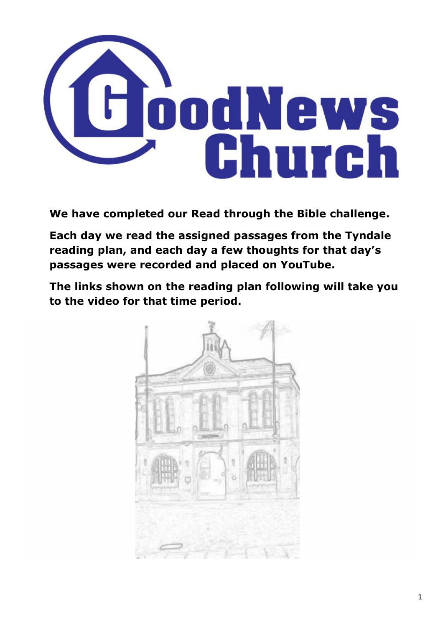

**We have completed our Read through the Bible challenge.**

**Each day we read the assigned passages from the Tyndale reading plan, and each day a few thoughts for that day's passages were recorded and placed on YouTube.**

**The links shown on the reading plan following will take you to the video for that time period.**

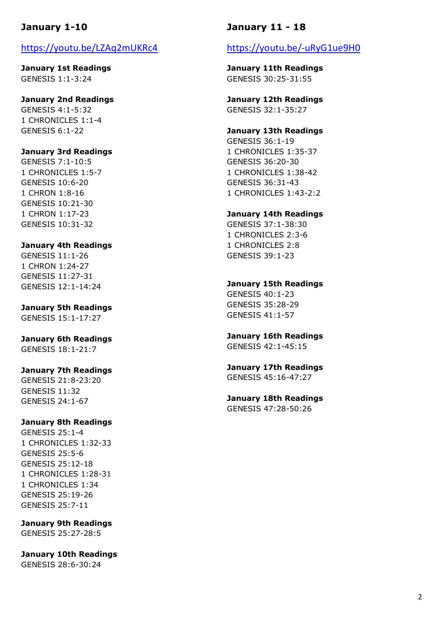# **January 1-10**

## https://youtu.be/LZAq2mUKRc4

**January 1st Readings** GENESIS 1:1-3:24

**January 2nd Readings** GENESIS 4:1-5:32 1 CHRONICLES 1:1-4 GENESIS 6:1-22

### **January 3rd Readings**

GENESIS 7:1-10:5 1 CHRONICLES 1:5-7 GENESIS 10:6-20 1 CHRON 1:8-16 GENESIS 10:21-30 1 CHRON 1:17-23 GENESIS 10:31-32

### **January 4th Readings**

GENESIS 11:1-26 1 CHRON 1:24-27 GENESIS 11:27-31 GENESIS 12:1-14:24

**January 5th Readings** GENESIS 15:1-17:27

**January 6th Readings**

GENESIS 18:1-21:7

#### **January 7th Readings**

GENESIS 21:8-23:20 GENESIS 11:32 GENESIS 24:1-67

#### **January 8th Readings**

GENESIS 25:1-4 1 CHRONICLES 1:32-33 GENESIS 25:5-6 GENESIS 25:12-18 1 CHRONICLES 1:28-31 1 CHRONICLES 1:34 GENESIS 25:19-26 GENESIS 25:7-11

**January 9th Readings** GENESIS 25:27-28:5

**January 10th Readings** GENESIS 28:6-30:24

## **January 11 - 18**

## https://youtu.be/-uRyG1ue9H0

**January 11th Readings** GENESIS 30:25-31:55

**January 12th Readings** GENESIS 32:1-35:27

# **January 13th Readings**

GENESIS 36:1-19 1 CHRONICLES 1:35-37 GENESIS 36:20-30 1 CHRONICLES 1:38-42 GENESIS 36:31-43 1 CHRONICLES 1:43-2:2

### **January 14th Readings**

GENESIS 37:1-38:30 1 CHRONICLES 2:3-6 1 CHRONICLES 2:8 GENESIS 39:1-23

**January 15th Readings**

GENESIS 40:1-23 GENESIS 35:28-29 GENESIS 41:1-57

**January 16th Readings** GENESIS 42:1-45:15

**January 17th Readings** GENESIS 45:16-47:27

**January 18th Readings** GENESIS 47:28-50:26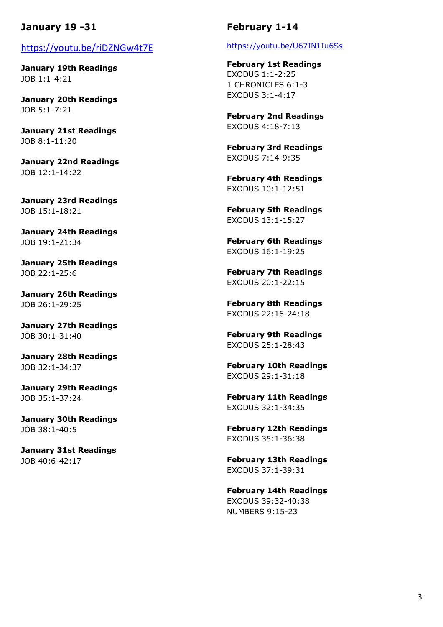# **January 19 -31**

## https://youtu.be/riDZNGw4t7E

**January 19th Readings** JOB 1:1-4:21

**January 20th Readings** JOB 5:1-7:21

**January 21st Readings** JOB 8:1-11:20

**January 22nd Readings** JOB 12:1-14:22

**January 23rd Readings** JOB 15:1-18:21

**January 24th Readings** JOB 19:1-21:34

**January 25th Readings** JOB 22:1-25:6

**January 26th Readings** JOB 26:1-29:25

**January 27th Readings** JOB 30:1-31:40

**January 28th Readings** JOB 32:1-34:37

**January 29th Readings** JOB 35:1-37:24

**January 30th Readings** JOB 38:1-40:5

**January 31st Readings** JOB 40:6-42:17

## **February 1-14**

https://youtu.be/U67IN1Iu6Ss

**February 1st Readings** EXODUS 1:1-2:25 1 CHRONICLES 6:1-3 EXODUS 3:1-4:17

**February 2nd Readings** EXODUS 4:18-7:13

**February 3rd Readings** EXODUS 7:14-9:35

**February 4th Readings** EXODUS 10:1-12:51

**February 5th Readings** EXODUS 13:1-15:27

**February 6th Readings** EXODUS 16:1-19:25

**February 7th Readings** EXODUS 20:1-22:15

**February 8th Readings** EXODUS 22:16-24:18

**February 9th Readings** EXODUS 25:1-28:43

**February 10th Readings** EXODUS 29:1-31:18

**February 11th Readings** EXODUS 32:1-34:35

**February 12th Readings** EXODUS 35:1-36:38

**February 13th Readings** EXODUS 37:1-39:31

**February 14th Readings** EXODUS 39:32-40:38 NUMBERS 9:15-23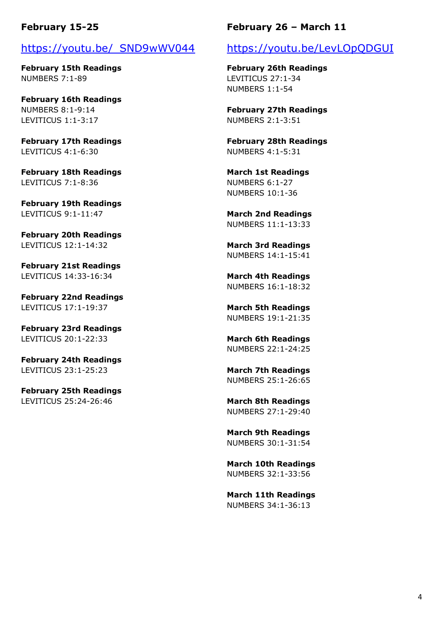## **February 15-25**

## https://youtu.be/\_SND9wWV044

**February 15th Readings** NUMBERS 7:1-89

**February 16th Readings** NUMBERS 8:1-9:14 LEVITICUS 1:1-3:17

**February 17th Readings** LEVITICUS 4:1-6:30

**February 18th Readings** LEVITICUS 7:1-8:36

**February 19th Readings** LEVITICUS 9:1-11:47

**February 20th Readings** LEVITICUS 12:1-14:32

**February 21st Readings** LEVITICUS 14:33-16:34

**February 22nd Readings** LEVITICUS 17:1-19:37

**February 23rd Readings** LEVITICUS 20:1-22:33

**February 24th Readings** LEVITICUS 23:1-25:23

**February 25th Readings** LEVITICUS 25:24-26:46

## **February 26 – March 11**

## https://youtu.be/LevLOpQDGUI

**February 26th Readings** LEVITICUS 27:1-34 NUMBERS 1:1-54

**February 27th Readings** NUMBERS 2:1-3:51

**February 28th Readings** NUMBERS 4:1-5:31

**March 1st Readings** NUMBERS 6:1-27 NUMBERS 10:1-36

**March 2nd Readings** NUMBERS 11:1-13:33

**March 3rd Readings** NUMBERS 14:1-15:41

**March 4th Readings** NUMBERS 16:1-18:32

**March 5th Readings** NUMBERS 19:1-21:35

**March 6th Readings** NUMBERS 22:1-24:25

**March 7th Readings** NUMBERS 25:1-26:65

**March 8th Readings** NUMBERS 27:1-29:40

**March 9th Readings** NUMBERS 30:1-31:54

**March 10th Readings** NUMBERS 32:1-33:56

**March 11th Readings** NUMBERS 34:1-36:13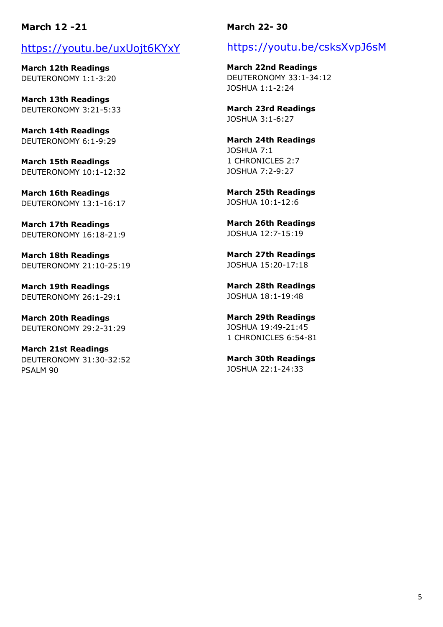# **March 12 -21**

# https://youtu.be/uxUojt6KYxY

**March 12th Readings** DEUTERONOMY 1:1-3:20

**March 13th Readings** DEUTERONOMY 3:21-5:33

**March 14th Readings** DEUTERONOMY 6:1-9:29

**March 15th Readings** DEUTERONOMY 10:1-12:32

**March 16th Readings** DEUTERONOMY 13:1-16:17

**March 17th Readings** DEUTERONOMY 16:18-21:9

**March 18th Readings** DEUTERONOMY 21:10-25:19

**March 19th Readings** DEUTERONOMY 26:1-29:1

**March 20th Readings** DEUTERONOMY 29:2-31:29

**March 21st Readings** DEUTERONOMY 31:30-32:52 PSALM 90

## **March 22- 30**

# https://youtu.be/csksXvpJ6sM

**March 22nd Readings** DEUTERONOMY 33:1-34:12 JOSHUA 1:1-2:24

**March 23rd Readings** JOSHUA 3:1-6:27

**March 24th Readings** JOSHUA 7:1 1 CHRONICLES 2:7 JOSHUA 7:2-9:27

**March 25th Readings** JOSHUA 10:1-12:6

**March 26th Readings** JOSHUA 12:7-15:19

**March 27th Readings** JOSHUA 15:20-17:18

**March 28th Readings** JOSHUA 18:1-19:48

**March 29th Readings** JOSHUA 19:49-21:45 1 CHRONICLES 6:54-81

**March 30th Readings** JOSHUA 22:1-24:33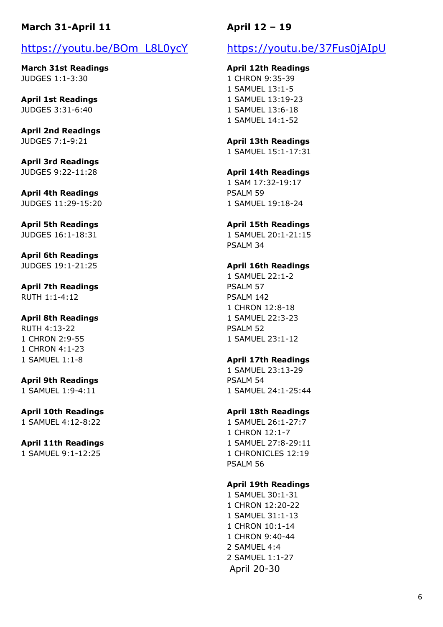# **March 31-April 11**

# https://youtu.be/BOm\_L8L0ycY

**March 31st Readings** JUDGES 1:1-3:30

**April 1st Readings** JUDGES 3:31-6:40

**April 2nd Readings** JUDGES 7:1-9:21

**April 3rd Readings** JUDGES 9:22-11:28

**April 4th Readings** JUDGES 11:29-15:20

#### **April 5th Readings** JUDGES 16:1-18:31

**April 6th Readings** JUDGES 19:1-21:25

**April 7th Readings** RUTH 1:1-4:12

### **April 8th Readings**

RUTH 4:13-22 1 CHRON 2:9-55 1 CHRON 4:1-23 1 SAMUEL 1:1-8

## **April 9th Readings**

1 SAMUEL 1:9-4:11

# **April 10th Readings**

1 SAMUEL 4:12-8:22

### **April 11th Readings**

1 SAMUEL 9:1-12:25

# **April 12 – 19**

# https://youtu.be/37Fus0jAIpU

### **April 12th Readings**

1 CHRON 9:35-39 1 SAMUEL 13:1-5 1 SAMUEL 13:19-23 1 SAMUEL 13:6-18 1 SAMUEL 14:1-52

### **April 13th Readings**

1 SAMUEL 15:1-17:31

### **April 14th Readings**

1 SAM 17:32-19:17 PSALM 59 1 SAMUEL 19:18-24

### **April 15th Readings**

1 SAMUEL 20:1-21:15 PSALM 34

## **April 16th Readings**

1 SAMUEL 22:1-2 PSALM 57 PSALM 142 1 CHRON 12:8-18 1 SAMUEL 22:3-23 PSALM 52 1 SAMUEL 23:1-12

### **April 17th Readings**

1 SAMUEL 23:13-29 PSALM 54 1 SAMUEL 24:1-25:44

### **April 18th Readings**

1 SAMUEL 26:1-27:7 1 CHRON 12:1-7 1 SAMUEL 27:8-29:11 1 CHRONICLES 12:19 PSALM 56

### **April 19th Readings**

1 SAMUEL 30:1-31 1 CHRON 12:20-22 1 SAMUEL 31:1-13 1 CHRON 10:1-14 1 CHRON 9:40-44 2 SAMUEL 4:4 2 SAMUEL 1:1-27 April 20-30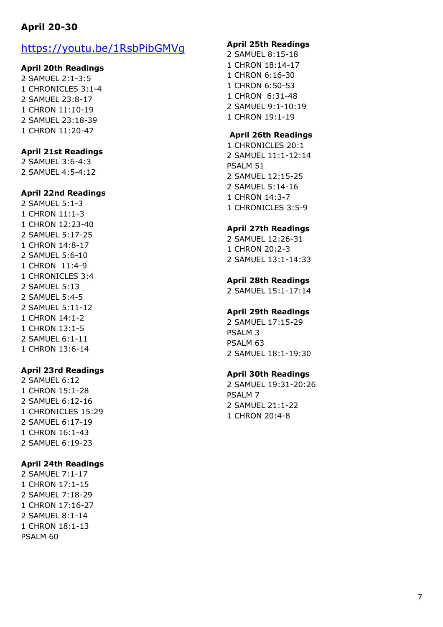# **April 20 -30**

# https://youtu.be/1RsbPibGMVg

### **April 20th Readings**

2 SAMUEL 2:1 -3:5 1 CHRONICLES 3:1 - 4 2 SAMUEL 23:8 -17 1 CHRON 11:10 -19 2 SAMUEL 23:18 -39 1 CHRON 11:20 -47

## **April 21st Readings**

2 SAMUEL 3:6 -4:3 2 SAMUEL 4:5 -4:12

#### **April 22nd Readings**

2 SAMUEL 5:1 - 3 1 CHRON 11:1 - 3 1 CHRON 12:23 -40 2 SAMUEL 5:17 -25 1 CHRON 14: 8 -17 2 SAMUEL 5:6 -10 1 CHRON 11:4 - 9 1 CHRONICLES 3:4 2 SAMUEL 5:13 2 SAMUEL 5:4 - 5 2 SAMUEL 5:11 -12 1 CHRON 14:1 - 2 1 CHRON 13: 1 - 5 2 SAMUEL 6:1 -11 1 CHRON 13:6 -14

#### **April 23rd Readings**

2 SAMUEL 6:12 1 CHRON 15:1 -28 2 SAMUEL 6:12 -16 1 CHRONICLES 15:29 2 SAMUEL 6:17 -19 1 CHRON 16:1 -43 2 SAMUEL 6:19 -23

#### **April 24th Readings**

2 SAMUEL 7:1 -17 1 CHRON 17:1 -15 2 SAMUEL 7:18 -29 1 CHRON 17:16 -27 2 SAMUEL 8:1 -14 1 CHRON 18:1 -13 PSALM 60

### **April 25th Readings**

- 2 SAMUEL 8:15 -18 1 CHRON 18:14 -17 1 CHRON 6:16 -30 1 CHRON 6:50 -53 1 CHRON 6:31 -48 2 SAMUEL 9:1 -10:19
- 1 CHRON 19:1 -19

## **April 26th Readings**

1 CHRONICLES 20:1 2 SAMUEL 11:1 -12:14 PSALM 51 2 SAMUEL 12:15 -25 2 SAMUEL 5:14 -16 1 CHRON 14:3 - 7 1 CHRONICLES 3:5 - 9

#### **April 27th Readings**

2 SAMUEL 12:26 -31 1 CHRON 20:2 - 3 2 SAMUEL 13:1 -14:33

### **April 28th Readings**

2 SAMUEL 15:1 -17:14

### **April 29th Readings**

2 SAMUEL 17:15 -29 PSALM 3 PSALM 63 2 SAMUEL 18:1 -19:30

## **April 30th Readings**

2 SAMUEL 19:31 -20:26 PSALM 7 2 SAMUEL 21:1 -22 1 CHRON 20:4 - 8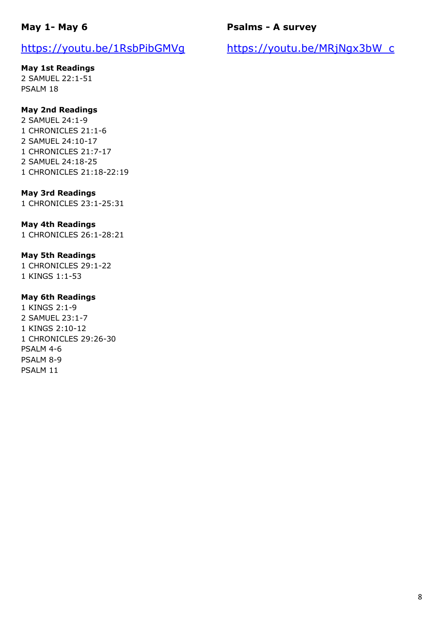# https://youtu.be/1RsbPibGMVg

## **May 1st Readings**

2 SAMUEL 22:1-51 PSALM 18

## **May 2nd Readings**

2 SAMUEL 24:1-9 1 CHRONICLES 21:1-6 2 SAMUEL 24:10-17 1 CHRONICLES 21:7-17 2 SAMUEL 24:18-25 1 CHRONICLES 21:18-22:19

## **May 3rd Readings**

1 CHRONICLES 23:1-25:31

## **May 4th Readings**

1 CHRONICLES 26:1-28:21

### **May 5th Readings**

1 CHRONICLES 29:1-22 1 KINGS 1:1-53

### **May 6th Readings**

1 KINGS 2:1-9 2 SAMUEL 23:1-7 1 KINGS 2:10-12 1 CHRONICLES 29:26-30 PSALM 4-6 PSALM 8-9 PSALM 11

# **Psalms - A survey**

https://youtu.be/MRjNgx3bW\_c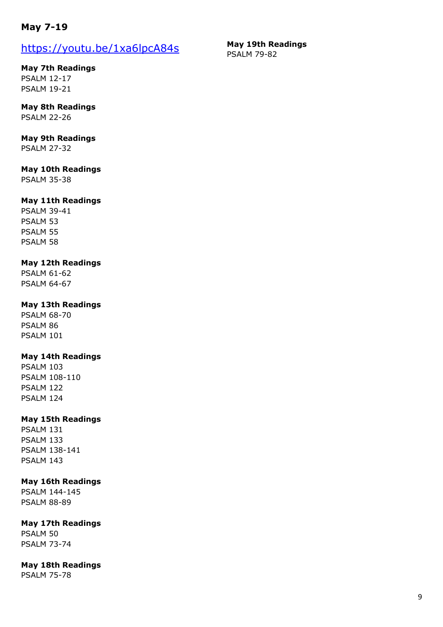# **May 7-19**

# https://youtu.be/1xa6lpcA84s

**May 7th Readings** PSALM 12-17 PSALM 19-21

**May 8th Readings** PSALM 22-26

# **May 9th Readings**

PSALM 27-32

# **May 10th Readings**

PSALM 35-38

## **May 11th Readings**

PSALM 39-41 PSALM 53 PSALM 55 PSALM 58

## **May 12th Readings**

PSALM 61-62 PSALM 64-67

## **May 13th Readings**

PSALM 68-70 PSALM 86 PSALM 101

## **May 14th Readings**

PSALM 103 PSALM 108-110 PSALM 122 PSALM 124

## **May 15th Readings**

PSALM 131 PSALM 133 PSALM 138-141 PSALM 143

## **May 16th Readings**

PSALM 144-145 PSALM 88-89

## **May 17th Readings**

PSALM 50 PSALM 73-74

## **May 18th Readings**

PSALM 75-78

#### **May 19th Readings** PSALM 79-82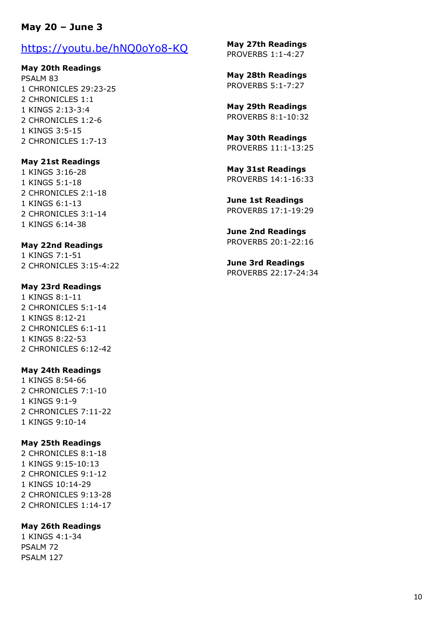## **May 20 – June 3**

## https://youtu.be/hNQ0oYo8-KQ

### **May 20th Readings**

PSALM 83 1 CHRONICLES 29:23-25 2 CHRONICLES 1:1 1 KINGS 2:13-3:4 2 CHRONICLES 1:2-6 1 KINGS 3:5-15 2 CHRONICLES 1:7-13

### **May 21st Readings**

1 KINGS 3:16-28 1 KINGS 5:1-18 2 CHRONICLES 2:1-18 1 KINGS 6:1-13 2 CHRONICLES 3:1-14 1 KINGS 6:14-38

### **May 22nd Readings**

1 KINGS 7:1-51 2 CHRONICLES 3:15-4:22

### **May 23rd Readings**

1 KINGS 8:1-11 2 CHRONICLES 5:1-14 1 KINGS 8:12-21 2 CHRONICLES 6:1-11 1 KINGS 8:22-53 2 CHRONICLES 6:12-42

### **May 24th Readings**

1 KINGS 8:54-66 2 CHRONICLES 7:1-10 1 KINGS 9:1-9 2 CHRONICLES 7:11-22 1 KINGS 9:10-14

### **May 25th Readings**

2 CHRONICLES 8:1-18 1 KINGS 9:15-10:13 2 CHRONICLES 9:1-12 1 KINGS 10:14-29 2 CHRONICLES 9:13-28 2 CHRONICLES 1:14-17

### **May 26th Readings**

1 KINGS 4:1-34 PSALM 72 PSALM 127

**May 27th Readings** PROVERBS 1:1-4:27

**May 28th Readings** PROVERBS 5:1-7:27

**May 29th Readings** PROVERBS 8:1-10:32

**May 30th Readings** PROVERBS 11:1-13:25

**May 31st Readings** PROVERBS 14:1-16:33

**June 1st Readings** PROVERBS 17:1-19:29

**June 2nd Readings** PROVERBS 20:1-22:16

**June 3rd Readings** PROVERBS 22:17-24:34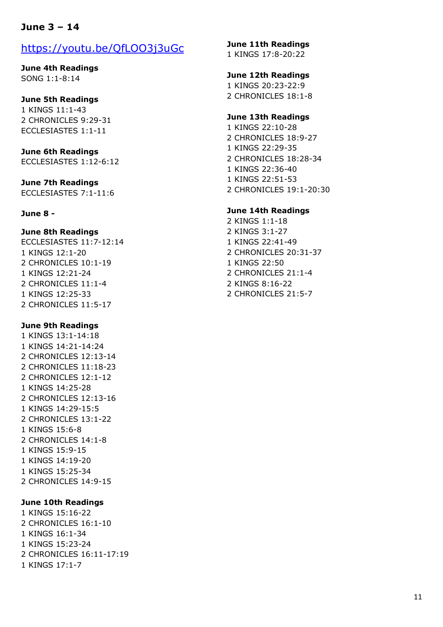# **June 3 – 14**

# https://youtu.be/QfLOO3j3uGc

**June 4th Readings** SONG 1:1-8:14

### **June 5th Readings**

1 KINGS 11:1-43 2 CHRONICLES 9:29-31 ECCLESIASTES 1:1-11

## **June 6th Readings**

ECCLESIASTES 1:12-6:12

### **June 7th Readings** ECCLESIASTES 7:1-11:6

### **June 8 -**

### **June 8th Readings**

ECCLESIASTES 11:7-12:14 1 KINGS 12:1-20 2 CHRONICLES 10:1-19 1 KINGS 12:21-24 2 CHRONICLES 11:1-4 1 KINGS 12:25-33 2 CHRONICLES 11:5-17

### **June 9th Readings**

1 KINGS 13:1-14:18 1 KINGS 14:21-14:24 2 CHRONICLES 12:13-14 2 CHRONICLES 11:18-23 2 CHRONICLES 12:1-12 1 KINGS 14:25-28 2 CHRONICLES 12:13-16 1 KINGS 14:29-15:5 2 CHRONICLES 13:1-22 1 KINGS 15:6-8 2 CHRONICLES 14:1-8 1 KINGS 15:9-15 1 KINGS 14:19-20 1 KINGS 15:25-34 2 CHRONICLES 14:9-15

### **June 10th Readings**

1 KINGS 15:16-22 2 CHRONICLES 16:1-10 1 KINGS 16:1-34 1 KINGS 15:23-24 2 CHRONICLES 16:11-17:19 1 KINGS 17:1-7

#### **June 11th Readings**

1 KINGS 17:8-20:22

#### **June 12th Readings**

1 KINGS 20:23-22:9 2 CHRONICLES 18:1-8

#### **June 13th Readings**

1 KINGS 22:10-28 2 CHRONICLES 18:9-27 1 KINGS 22:29-35 2 CHRONICLES 18:28-34 1 KINGS 22:36-40 1 KINGS 22:51-53 2 CHRONICLES 19:1-20:30

#### **June 14th Readings**

2 KINGS 1:1-18 2 KINGS 3:1-27 1 KINGS 22:41-49 2 CHRONICLES 20:31-37 1 KINGS 22:50 2 CHRONICLES 21:1-4 2 KINGS 8:16-22 2 CHRONICLES 21:5-7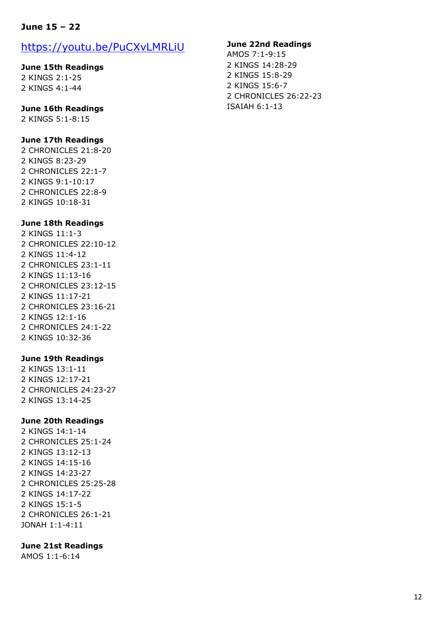## **June 15 – 22**

# https://youtu.be/PuCXvLMRLiU

### **June 15th Readings**

2 KINGS 2:1-25 2 KINGS 4:1-44

### **June 16th Readings**

2 KINGS 5:1-8:15

### **June 17th Readings**

2 CHRONICLES 21:8-20 2 KINGS 8:23-29 2 CHRONICLES 22:1-7 2 KINGS 9:1-10:17 2 CHRONICLES 22:8-9 2 KINGS 10:18-31

### **June 18th Readings**

2 KINGS 11:1-3 2 CHRONICLES 22:10-12 2 KINGS 11:4-12 2 CHRONICLES 23:1-11 2 KINGS 11:13-16 2 CHRONICLES 23:12-15 2 KINGS 11:17-21 2 CHRONICLES 23:16-21 2 KINGS 12:1-16 2 CHRONICLES 24:1-22 2 KINGS 10:32-36

### **June 19th Readings**

2 KINGS 13:1-11 2 KINGS 12:17-21 2 CHRONICLES 24:23-27 2 KINGS 13:14-25

### **June 20th Readings**

2 KINGS 14:1-14 2 CHRONICLES 25:1-24 2 KINGS 13:12-13 2 KINGS 14:15-16 2 KINGS 14:23-27 2 CHRONICLES 25:25-28 2 KINGS 14:17-22 2 KINGS 15:1-5 2 CHRONICLES 26:1-21 JONAH 1:1-4:11

### **June 21st Readings**

AMOS 1:1-6:14

### **June 22nd Readings**

AMOS 7:1-9:15 2 KINGS 14:28-29 2 KINGS 15:8-29 2 KINGS 15:6-7 2 CHRONICLES 26:22-23 ISAIAH 6:1-13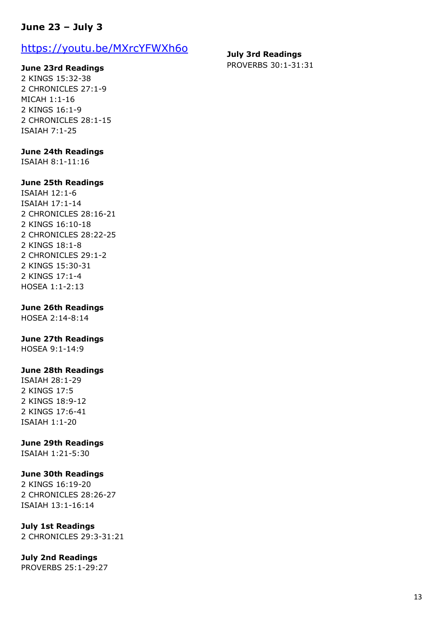# **June 23 – July 3**

# https://youtu.be/MXrcYFWXh6o

### **June 23rd Readings**

2 KINGS 15:32-38 2 CHRONICLES 27:1-9 MICAH 1:1-16 2 KINGS 16:1-9 2 CHRONICLES 28:1-15 ISAIAH 7:1-25

### **June 24th Readings**

ISAIAH 8:1-11:16

### **June 25th Readings**

ISAIAH 12:1-6 ISAIAH 17:1-14 2 CHRONICLES 28:16-21 2 KINGS 16:10-18 2 CHRONICLES 28:22-25 2 KINGS 18:1-8 2 CHRONICLES 29:1-2 2 KINGS 15:30-31 2 KINGS 17:1-4 HOSEA 1:1-2:13

### **June 26th Readings**

HOSEA 2:14-8:14

### **June 27th Readings**

HOSEA 9:1-14:9

### **June 28th Readings**

ISAIAH 28:1-29 2 KINGS 17:5 2 KINGS 18:9-12 2 KINGS 17:6-41 ISAIAH 1:1-20

#### **June 29th Readings**

ISAIAH 1:21-5:30

### **June 30th Readings**

2 KINGS 16:19-20 2 CHRONICLES 28:26-27 ISAIAH 13:1-16:14

## **July 1st Readings**

2 CHRONICLES 29:3-31:21

### **July 2nd Readings**

PROVERBS 25:1-29:27

**July 3rd Readings** PROVERBS 30:1-31:31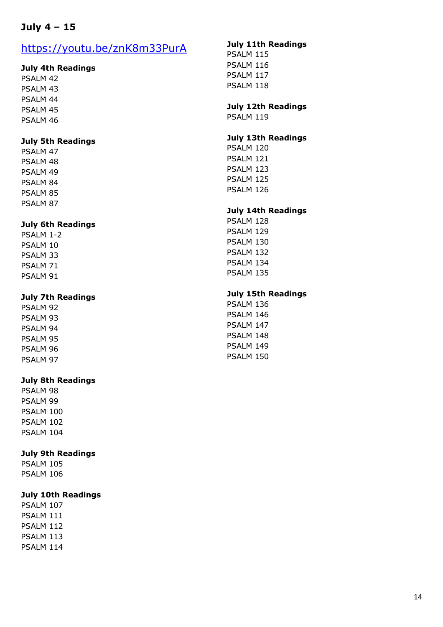# **July 4 – 15**

# https://youtu.be/znK8m33PurA

### **July 4th Readings**

PSALM 42 PSALM 43 PSALM 44 PSALM 45 PSALM 46

### **July 5th Readings**

PSALM 47 PSALM 48 PSALM 49 PSALM 84 PSALM 85 PSALM 87

## **July 6th Readings**

PSALM 1-2 PSALM 10 PSALM 33 PSALM 71 PSALM 91

### **July 7th Readings**

PSALM 92 PSALM 93 PSALM 94 PSALM 95 PSALM 96 PSALM 97

## **July 8th Readings**

PSALM 98 PSALM 99 PSALM 100 PSALM 102 PSALM 104

## **July 9th Readings**

PSALM 105 PSALM 106

## **July 10th Readings**

PSALM 107 PSALM 111 PSALM 112 PSALM 113 PSALM 114

### **July 11th Readings**

PSALM 115 PSALM 116 PSALM 117 PSALM 118

## **July 12th Readings**

PSALM 119

### **July 13th Readings**

PSALM 120 PSALM 121 PSALM 123 PSALM 125 PSALM 126

### **July 14th Readings**

PSALM 128 PSALM 129 PSALM 130 PSALM 132 PSALM 134 PSALM 135

### **July 15th Readings**

PSALM 136 PSALM 146 PSALM 147 PSALM 148 PSALM 149 PSALM 150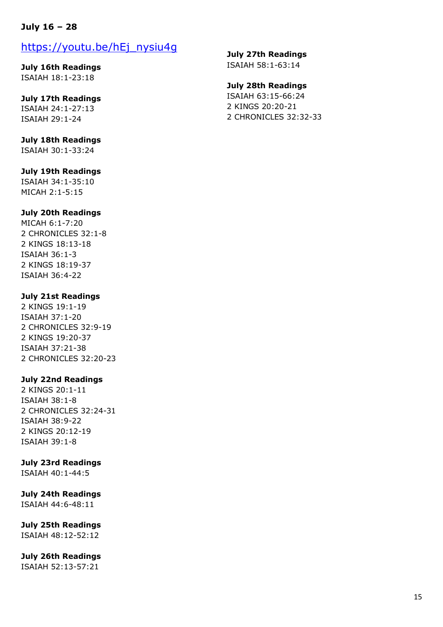## **July 16 – 28**

# https://youtu.be/hEj\_nysiu4g

**July 16th Readings** ISAIAH 18:1-23:18

**July 17th Readings** ISAIAH 24:1-27:13 ISAIAH 29:1-24

**July 18th Readings** ISAIAH 30:1-33:24

## **July 19th Readings**

ISAIAH 34:1-35:10 MICAH 2:1-5:15

## **July 20th Readings**

MICAH 6:1-7:20 2 CHRONICLES 32:1-8 2 KINGS 18:13-18 ISAIAH 36:1-3 2 KINGS 18:19-37 ISAIAH 36:4-22

## **July 21st Readings**

2 KINGS 19:1-19 ISAIAH 37:1-20 2 CHRONICLES 32:9-19 2 KINGS 19:20-37 ISAIAH 37:21-38 2 CHRONICLES 32:20-23

## **July 22nd Readings**

2 KINGS 20:1-11 ISAIAH 38:1-8 2 CHRONICLES 32:24-31 ISAIAH 38:9-22 2 KINGS 20:12-19 ISAIAH 39:1-8

## **July 23rd Readings**

ISAIAH 40:1-44:5

## **July 24th Readings**

ISAIAH 44:6-48:11

# **July 25th Readings**

ISAIAH 48:12-52:12

# **July 26th Readings**

ISAIAH 52:13-57:21

**July 27th Readings** ISAIAH 58:1-63:14

## **July 28th Readings**

ISAIAH 63:15-66:24 2 KINGS 20:20-21 2 CHRONICLES 32:32-33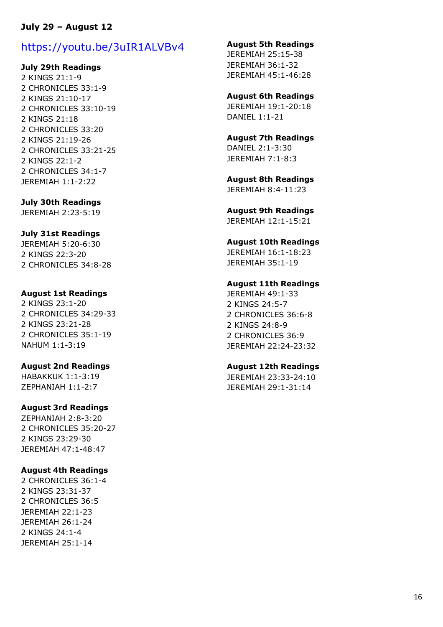## **July 29 – August 12**

# https://youtu.be/3uIR1ALVBv4

### **July 29th Readings**

2 KINGS 21:1-9 2 CHRONICLES 33:1-9 2 KINGS 21:10-17 2 CHRONICLES 33:10-19 2 KINGS 21:18 2 CHRONICLES 33:20 2 KINGS 21:19-26 2 CHRONICLES 33:21-25 2 KINGS 22:1-2 2 CHRONICLES 34:1-7 JEREMIAH 1:1-2:22

### **July 30th Readings**

JEREMIAH 2:23-5:19

### **July 31st Readings**

JEREMIAH 5:20-6:30 2 KINGS 22:3-20 2 CHRONICLES 34:8-28

### **August 1st Readings**

2 KINGS 23:1-20 2 CHRONICLES 34:29-33 2 KINGS 23:21-28 2 CHRONICLES 35:1-19 NAHUM 1:1-3:19

### **August 2nd Readings**

HABAKKUK 1:1-3:19 ZEPHANIAH 1:1-2:7

### **August 3rd Readings**

ZEPHANIAH 2:8-3:20 2 CHRONICLES 35:20-27 2 KINGS 23:29-30 JEREMIAH 47:1-48:47

### **August 4th Readings**

2 CHRONICLES 36:1-4 2 KINGS 23:31-37 2 CHRONICLES 36:5 JEREMIAH 22:1-23 JEREMIAH 26:1-24 2 KINGS 24:1-4 JEREMIAH 25:1-14

#### **August 5th Readings**

JEREMIAH 25:15-38 JEREMIAH 36:1-32 JEREMIAH 45:1-46:28

### **August 6th Readings**

JEREMIAH 19:1-20:18 DANIEL 1:1-21

### **August 7th Readings** DANIEL 2:1-3:30 JEREMIAH 7:1-8:3

**August 8th Readings** JEREMIAH 8:4-11:23

# **August 9th Readings**

JEREMIAH 12:1-15:21

### **August 10th Readings**

JEREMIAH 16:1-18:23 JEREMIAH 35:1-19

### **August 11th Readings**

JEREMIAH 49:1-33 2 KINGS 24:5-7 2 CHRONICLES 36:6-8 2 KINGS 24:8-9 2 CHRONICLES 36:9 JEREMIAH 22:24-23:32

### **August 12th Readings**

JEREMIAH 23:33-24:10 JEREMIAH 29:1-31:14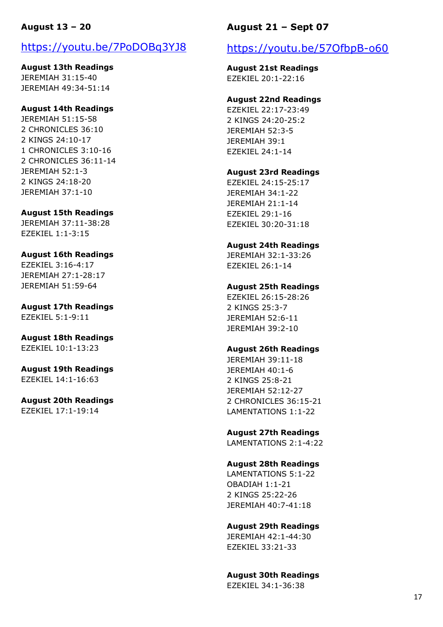## **August 13 – 20**

# https://youtu.be/7PoDOBq3YJ8

**August 13th Readings** JEREMIAH 31:15-40 JEREMIAH 49:34-51:14

### **August 14th Readings**

JEREMIAH 51:15-58 2 CHRONICLES 36:10 2 KINGS 24:10-17 1 CHRONICLES 3:10-16 2 CHRONICLES 36:11-14 JEREMIAH 52:1-3 2 KINGS 24:18-20 JEREMIAH 37:1-10

### **August 15th Readings**

JEREMIAH 37:11-38:28 EZEKIEL 1:1-3:15

### **August 16th Readings**

EZEKIEL 3:16-4:17 JEREMIAH 27:1-28:17 JEREMIAH 51:59-64

## **August 17th Readings** EZEKIEL 5:1-9:11

**August 18th Readings** EZEKIEL 10:1-13:23

**August 19th Readings** EZEKIEL 14:1-16:63

#### **August 20th Readings** EZEKIEL 17:1-19:14

**August 21 – Sept 07**

# https://youtu.be/57OfbpB-o60

**August 21st Readings** EZEKIEL 20:1-22:16

### **August 22nd Readings**

EZEKIEL 22:17-23:49 2 KINGS 24:20-25:2 JEREMIAH 52:3-5 JEREMIAH 39:1 EZEKIEL 24:1-14

### **August 23rd Readings**

EZEKIEL 24:15-25:17 JEREMIAH 34:1-22 JEREMIAH 21:1-14 EZEKIEL 29:1-16 EZEKIEL 30:20-31:18

### **August 24th Readings**

JEREMIAH 32:1-33:26 EZEKIEL 26:1-14

### **August 25th Readings**

EZEKIEL 26:15-28:26 2 KINGS 25:3-7 JEREMIAH 52:6-11 JEREMIAH 39:2-10

### **August 26th Readings**

JEREMIAH 39:11-18 JEREMIAH 40:1-6 2 KINGS 25:8-21 JEREMIAH 52:12-27 2 CHRONICLES 36:15-21 LAMENTATIONS 1:1-22

### **August 27th Readings**

LAMENTATIONS 2:1-4:22

### **August 28th Readings**

LAMENTATIONS 5:1-22 OBADIAH 1:1-21 2 KINGS 25:22-26 JEREMIAH 40:7-41:18

### **August 29th Readings**

JEREMIAH 42:1-44:30 EZEKIEL 33:21-33

### **August 30th Readings**

EZEKIEL 34:1-36:38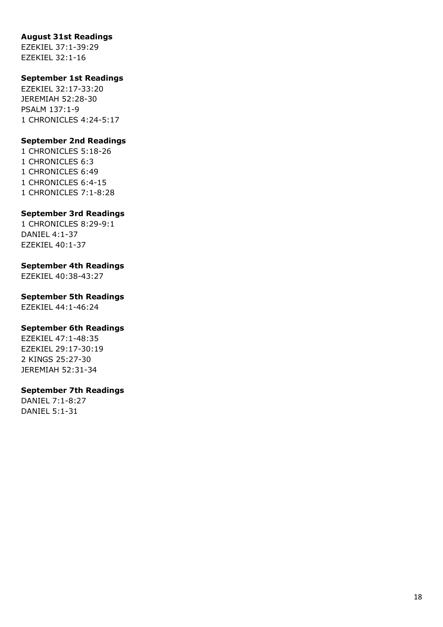### **August 31st Readings**

EZEKIEL 37:1 -39:29 EZEKIEL 32:1 -16

## **September 1st Readings**

EZEKIEL 32:17 -33:20 JEREMIAH 52:28 -30 PSALM 137:1 - 9 1 CHRONICLES 4:24 -5:17

### **September 2nd Readings**

1 CHRONICLES 5:18 -26 1 CHRONICLES 6:3 1 CHRONICLES 6:49 1 CHRONICLES 6:4 -15 1 CHRONICLES 7:1 -8:28

## **September 3rd Readings**

1 CHRONICLES 8:29 -9: 1 DANIEL 4:1 -37 EZEKIEL 40:1 -37

### **September 4th Readings**

EZEKIEL 40:38 -43:27

## **September 5th Readings**

EZEKIEL 44:1 -46:24

### **September 6th Readings**

EZEKIEL 47:1 -48:35 EZEKIEL 29:17 -30:19 2 KINGS 25:27 -30 JEREMIAH 52:31 -34

### **September 7th Readings**

DANIEL 7:1 -8:27 DANIEL 5:1 -31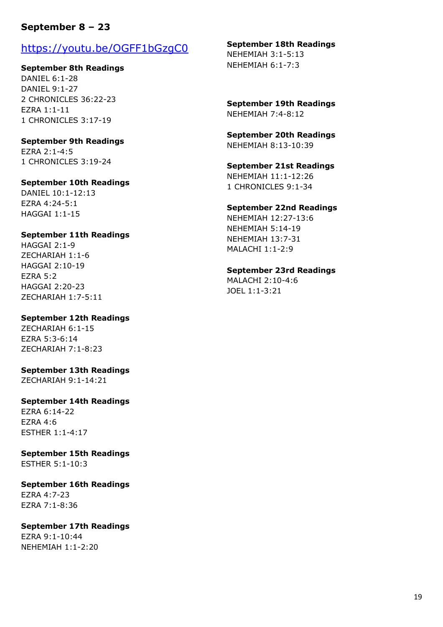# **September 8 – 23**

# https://youtu.be/OGFF1bGzgC0

**September 8th Readings** DANIEL 6:1-28 DANIEL 9:1-27 2 CHRONICLES 36:22-23 EZRA 1:1-11 1 CHRONICLES 3:17-19

**September 9th Readings** EZRA 2:1-4:5 1 CHRONICLES 3:19-24

# **September 10th Readings**

DANIEL 10:1-12:13 EZRA 4:24-5:1 HAGGAI 1:1-15

### **September 11th Readings**

HAGGAI 2:1-9 ZECHARIAH 1:1-6 HAGGAI 2:10-19 EZRA 5:2 HAGGAI 2:20-23 ZECHARIAH 1:7-5:11

## **September 12th Readings**

ZECHARIAH 6:1-15 EZRA 5:3-6:14 ZECHARIAH 7:1-8:23

**September 13th Readings** ZECHARIAH 9:1-14:21

### **September 14th Readings**

EZRA 6:14-22 EZRA 4:6 ESTHER 1:1-4:17

**September 15th Readings** ESTHER 5:1-10:3

**September 16th Readings** EZRA 4:7-23 EZRA 7:1-8:36

# **September 17th Readings**

EZRA 9:1-10:44 NEHEMIAH 1:1-2:20

#### **September 18th Readings**

NEHEMIAH 3:1-5:13 NEHEMIAH 6:1-7:3

**September 19th Readings** NEHEMIAH 7:4-8:12

**September 20th Readings** NEHEMIAH 8:13-10:39

**September 21st Readings** NEHEMIAH 11:1-12:26 1 CHRONICLES 9:1-34

### **September 22nd Readings** NEHEMIAH 12:27-13:6

NEHEMIAH 5:14-19 NEHEMIAH 13:7-31 MALACHI 1:1-2:9

**September 23rd Readings** MALACHI 2:10-4:6

JOEL 1:1-3:21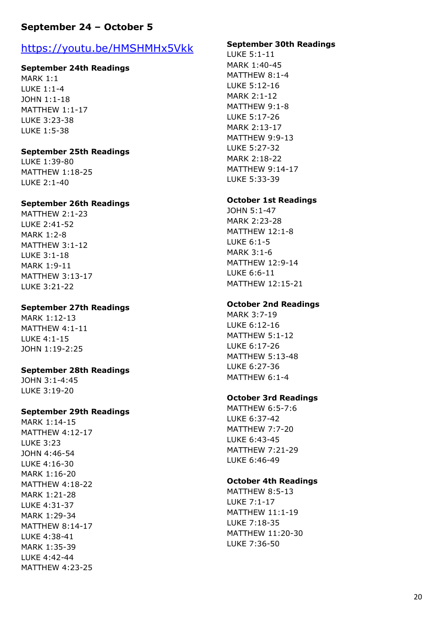# **September 24 – October 5**

# https://youtu.be/HMSHMHx5Vk k

## **September 24th Readings**

MARK 1:1 LUKE 1:1 - 4 JOHN 1:1 -18 MATTHEW 1:1 -17 LUKE 3:23 -38 LUKE 1:5 -38

### **September 25th Readings**

LUKE 1:39 -80 MATTHEW 1:18 -25 LUKE 2:1 -40

### **September 26th Readings**

MATTHEW 2:1 -23 LUKE 2:41 -52 MARK 1:2 - 8 MATTHEW 3:1 -12 LUKE 3:1 -18 MARK 1:9 -11 MATTHEW 3:13 -17 LUKE 3:21 -22

## **September 27th Readings**

MARK 1:12 -13 MATTHEW 4:1 -11 LUKE 4:1 -15 JOHN 1:19 -2:25

## **September 28th Readings**

JOHN 3:1 -4:45 LUKE 3:19 -20

## **September 29th Readings**

MARK 1:14 -15 MATTHEW 4:12 -17 LUKE 3:23 JOHN 4:46 -54 LUKE 4:16 -30 MARK 1:16 -20 MATTHEW 4:18 -22 MARK 1:21 -28 LUKE 4:31 -37 MARK 1:29 -34 MATTHEW 8:14 -17 LUKE 4:38 -41 MARK 1:35 -39 LUKE 4:42 -44 MATTHEW 4:23 -25

### **September 30th Readings**

LUKE 5:1 -11 MARK 1:40 -45 MATTHEW 8:1 - 4 LUKE 5:12 -16 MARK 2:1 -12 MATTHEW 9:1 - 8 LUKE 5:17 -26 MARK 2:13 -17 MATTHEW 9:9 -13 LUKE 5:27 -32 MARK 2:18 -22 MATTHEW 9:14 -17 LUKE 5:33 -39

### **October 1st Readings**

JOHN 5:1 -47 MARK 2:23 -28 MATTHEW 12:1 - 8 LUKE 6:1 - 5 MARK 3:1 - 6 MATTHEW 12:9 -14 LUKE 6:6 -11 MATTHEW 12:15 -21

### **October 2nd Readings**

MARK 3:7 -19 LUKE 6:12 -16 MATTHEW 5:1 -12 LUKE 6:17 -26 MATTHEW 5:13 -48 LUKE 6:27 -36 MATTHEW 6:1 - 4

## **October 3rd Readings**

MATTHEW 6:5 -7:6 LUKE 6:37 -42 MATTHEW 7:7 -20 LUKE 6:43 -45 MATTHEW 7:21 -29 LUKE 6:46 -49

## **October 4th Readings**

MATTHEW 8:5 -13 LUKE 7:1 -17 MATTHEW 11:1 -19 LUKE 7:18 -35 MATTHEW 11:20 -30 LUKE 7:36 -50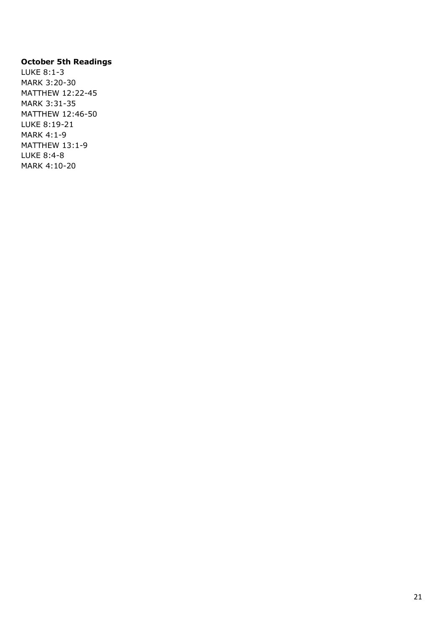## **October 5th Readings**

LUKE 8:1-3 MARK 3:20-30 MATTHEW 12:22-45 MARK 3:31-35 MATTHEW 12:46-50 LUKE 8:19-21 MARK 4:1-9 MATTHEW 13:1-9 LUKE 8:4-8 MARK 4:10-20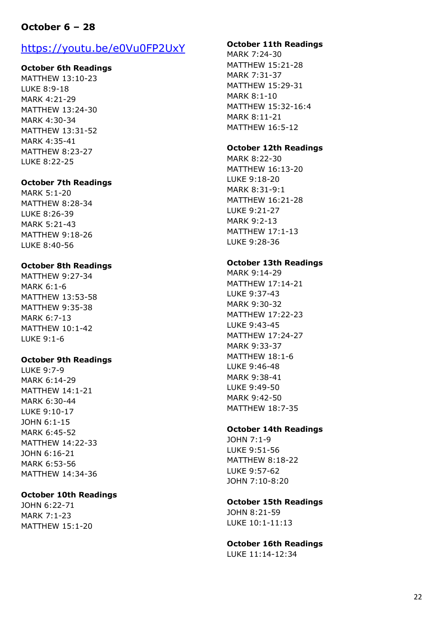# **October 6 – 28**

# https://youtu.be/e0Vu0FP2UxY

### **October 6th Readings**

MATTHEW 13:10 -23 LUKE 8:9 -18 MARK 4:21 -29 MATTHEW 13:24 -30 MARK 4:30 -34 MATTHEW 13:31 -52 MARK 4:35 -41 MATTHEW 8:23 -27 LUKE 8:22 -25

### **October 7th Readings**

MARK 5:1 -20 MATTHEW 8:28 -34 LUKE 8:26 -39 MARK 5:21 -43 MATTHEW 9:18 -26 LUKE 8:40 -56

### **October 8th Readings**

MATTHEW 9:27 -34 MARK 6:1 - 6 MATTHEW 13:53 -58 MATTHEW 9:35 -38 MARK 6:7 -13 MATTHEW 10:1 -42 LUKE 9:1 - 6

#### **October 9th Readings**

LUKE 9:7 - 9 MARK 6:14 -29 MATTHEW 14:1 -21 MARK 6:30 -44 LUKE 9:10 -17 JOHN 6:1 -15 MARK 6:45 -52 MATTHEW 14:22 -33 JOHN 6:16 -21 MARK 6:53 -56 MATTHEW 14:34 -36

#### **October 10th Readings**

JOHN 6:22 -71 MARK 7:1 -23 MATTHEW 15:1 -20

### **October 11th Readings**

MARK 7:24 -30 MATTHEW 15:21 -28 MARK 7:31 -37 MATTHEW 15:29 -31 MARK 8:1 -10 MATTHEW 15:32 -16:4 MARK 8:11 -21 MATTHEW 16:5 -12

#### **October 12th Readings**

MARK 8:22 -30 MATTHEW 16:13 -20 LUKE 9:18 -20 MARK 8:31 -9:1 MATTHEW 16:21 -28 LUKE 9:21 -27 MARK 9:2 -13 MATTHEW 17:1 -13 LUKE 9:28 -36

#### **October 13th Readings**

MARK 9:14 -29 MATTHEW 17:14 -21 LUKE 9:37 -43 MARK 9:30 -32 MATTHEW 17:22 -23 LUKE 9:43 -45 MATTHEW 17:24 -27 MARK 9:33 -37 MATTHEW 18:1 - 6 LUKE 9:46 -48 MARK 9:38 -41 LUKE 9:49 -50 MARK 9:42 -50 MATTHEW 18:7 -35

### **October 14th Readings**

JOHN 7:1 - 9 LUKE 9:51 -56 MATTHEW 8:18 -22 LUKE 9:57 -62 JOHN 7:10 -8:20

### **October 15th Readings**

JOHN 8:21 -59 LUKE 10:1 -11:13

**October 16th Readings** LUKE 11:14 -12:34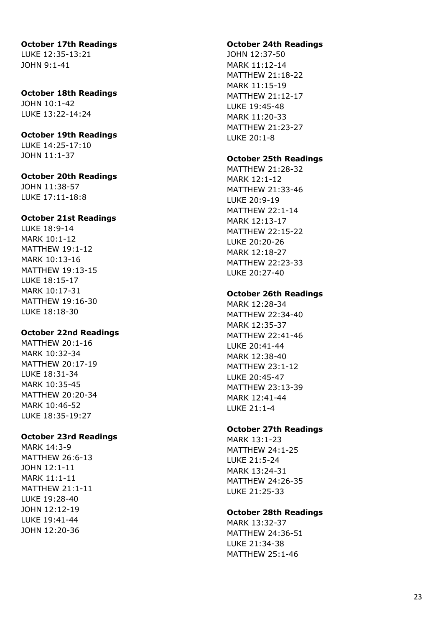# **October 17th Readings**

LUKE 12:35 -13:21 JOHN 9:1 -41

## **October 18th Readings** JOHN 10:1 -42

LUKE 13:22 -14:24

## **October 19th Readings**

LUKE 14:25 -17:10 JOHN 11:1 -37

## **October 20th Readings**

JOHN 11:38 -57 LUKE 17:11 -18:8

## **October 21st Readings**

LUKE 18:9 -14 MARK 10:1 -12 MATTHEW 19:1 -12 MARK 10:13 -16 MATTHEW 19:13 -15 LUKE 18:15 -17 MARK 10:17 -31 MATTHEW 19:16 -30 LUKE 18:18 -30

## **October 22nd Readings**

MATTHEW 20:1 -16 MARK 10:32 -34 MATTHEW 20:17 -19 LUKE 18:31 -34 MARK 10:35 -45 MATTHEW 20:20 -34 MARK 10:46 -52 LUKE 18:35 -19:27

## **October 23rd Readings**

MARK 14:3 - 9 MATTHEW 26:6 -13 JOHN 12:1 -11 MARK 11:1 -11 MATTHEW 21:1 -11 LUKE 19:28 -40 JOHN 12:12 -19 LUKE 19:41 -44 JOHN 12:20 -36

### **October 24th Readings**

JOHN 12:37 -50 MARK 11:12 -14 MATTHEW 21:18 -22 MARK 11:15 -19 MATTHEW 21:12 -17 LUKE 19:45 -48 MARK 11:20 -33 MATTHEW 21:23 -27 LUKE 20:1 - 8

## **October 25th Readings**

MATTHEW 21:28 -32 MARK 12:1 -12 MATTHEW 21:33 -46 LUKE 20:9 -19 MATTHEW 22:1 -14 MARK 12:13 -17 MATTHEW 22:15 -22 LUKE 20:20 -26 MARK 12:18 -27 MATTHEW 22:23 -33 LUKE 20:27 -40

## **October 26th Readings**

MARK 12:28 -34 MATTHEW 22:34 -40 MARK 12:35 -37 MATTHEW 22:41 -46 LUKE 20:41 -44 MARK 12:38 -40 MATTHEW 23:1 -12 LUKE 20:45 -47 MATTHEW 23:13 -39 MARK 12:41 -44 LUKE 21:1 - 4

## **October 27th Readings**

MARK 13:1 -23 MATTHEW 24:1 -25 LUKE 21:5 -24 MARK 13:24 -31 MATTHEW 24:26 -35 LUKE 21:25 -33

## **October 28th Readings**

MARK 13:32 -37 MATTHEW 24:36 -51 LUKE 21:34 -38 MATTHEW 25:1 -46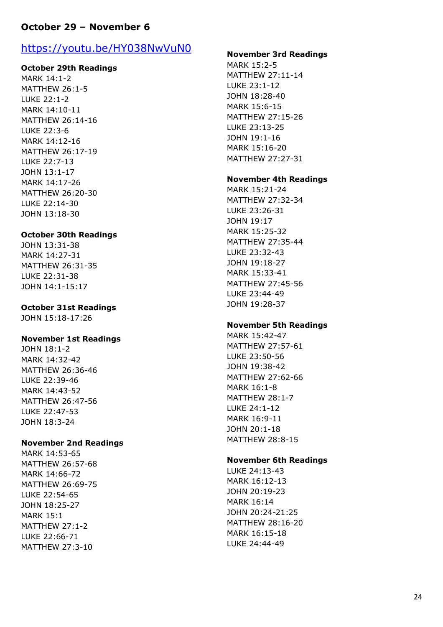# **October 29 – November 6**

# https://youtu.be/HY038NwVuN0

### **October 29th Readings**

MARK 14:1 - 2 MATTHEW 26:1 - 5 LUKE 22:1 - 2 MARK 14:10 -11 MATTHEW 26:14 -16 LUKE 22:3 - 6 MARK 14:12 -16 MATTHEW 26:17 -19 LUKE 22:7 -13 JOHN 13:1 -17 MARK 14:17 -26 MATTHEW 26:20 -30 LUKE 22:14 -30 JOHN 13:18 -30

### **October 30th Readings**

JOHN 13:31 -38 MARK 14:27 -31 MATTHEW 26:31 -35 LUKE 22:31 -38 JOHN 14:1 -15:17

### **October 31st Readings**

JOHN 15:18 -17:26

### **November 1st Readings**

JOHN 18:1 - 2 MARK 14:32 -42 MATTHEW 26:36 -46 LUKE 22:39 -46 MARK 14:43 -52 MATTHEW 26:47 -56 LUKE 22:47 -53 JOHN 18:3 -24

### **November 2nd Readings**

MARK 14:53 -65 MATTHEW 26:57 -68 MARK 14:66 -72 MATTHEW 26:69 -75 LUKE 22:54 -65 JOHN 18:25 -27 MARK 15:1 MATTHEW 27:1 - 2 LUKE 22:66 -71 MATTHEW 27:3 - 1 0

### **November 3rd Readings**

MARK 15:2 - 5 MATTHEW 27:11 -14 LUKE 23:1 -12 JOHN 18:28 -40 MARK 15:6 -15 MATTHEW 27:15 -26 LUKE 23:13 -25 JOHN 19:1 -16 MARK 15:16 -20 MATTHEW 27:27 -31

### **November 4th Readings**

MARK 15:21 -24 MATTHEW 27:32 -34 LUKE 23:26 -31 JOHN 19:17 MARK 15:25 -32 MATTHEW 27:35 -44 LUKE 23:32 -43 JOHN 19:18 -27 MARK 15:33 -41 MATTHEW 27:45 -56 LUKE 23:44 -49 JOHN 19:28 -37

### **November 5th Readings**

MARK 15:42 -47 MATTHEW 27:57 -61 LUKE 23:50 -56 JOHN 19:38 -42 MATTHEW 27:62 -66 MARK 16:1 - 8 MATTHEW 28:1 - 7 LUKE 24:1 -12 MARK 16:9 -11 JOHN 20:1 -18 MATTHEW 28:8 -15

### **November 6th Readings**

LUKE 24:13 -43 MARK 16:12 -13 JOHN 20:19 -23 MARK 16:14 JOHN 20:24 -21:25 MATTHEW 28:16 -20 MARK 16:15 -18 LUKE 24:44 -49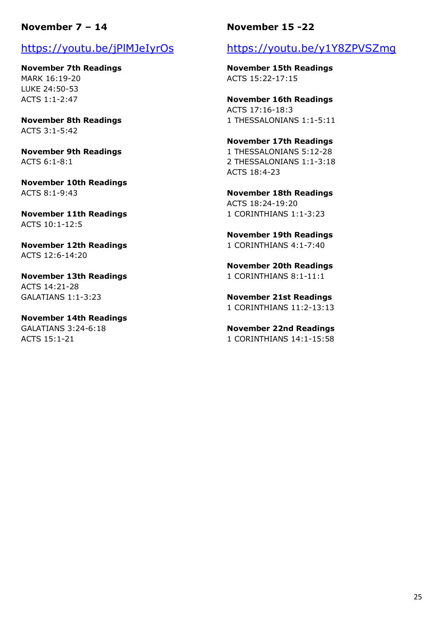## **November 7 – 14**

# https://youtu.be/jPlMJeIyrOs

**November 7th Readings** MARK 16:19-20 LUKE 24:50-53 ACTS 1:1-2:47

**November 8th Readings** ACTS 3:1-5:42

**November 9th Readings** ACTS 6:1-8:1

**November 10th Readings** ACTS 8:1-9:43

**November 11th Readings** ACTS 10:1-12:5

**November 12th Readings** ACTS 12:6-14:20

**November 13th Readings** ACTS 14:21-28 GALATIANS 1:1-3:23

**November 14th Readings** GALATIANS 3:24-6:18 ACTS 15:1-21

## **November 15 -22**

# https://youtu.be/y1Y8ZPVSZmg

**November 15th Readings** ACTS 15:22-17:15

**November 16th Readings** ACTS 17:16-18:3 1 THESSALONIANS 1:1-5:11

**November 17th Readings** 1 THESSALONIANS 5:12-28 2 THESSALONIANS 1:1-3:18 ACTS 18:4-23

**November 18th Readings** ACTS 18:24-19:20 1 CORINTHIANS 1:1-3:23

**November 19th Readings** 1 CORINTHIANS 4:1-7:40

**November 20th Readings** 1 CORINTHIANS 8:1-11:1

**November 21st Readings** 1 CORINTHIANS 11:2-13:13

**November 22nd Readings** 1 CORINTHIANS 14:1-15:58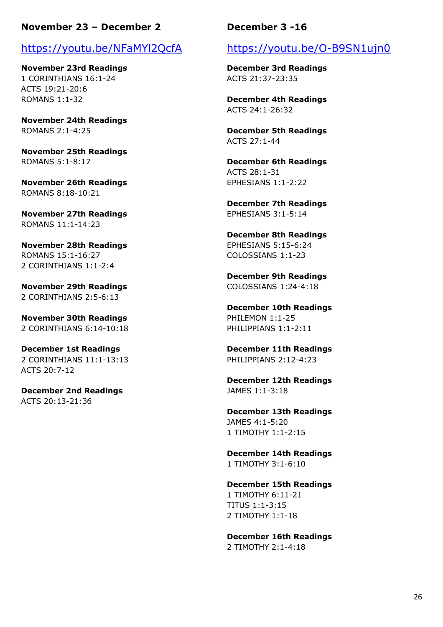## **November 23 – December 2**

# https://youtu.be/NFaMYl2QcfA

**November 23rd Readings** 1 CORINTHIANS 16:1-24 ACTS 19:21-20:6 ROMANS 1:1-32

**November 24th Readings** ROMANS 2:1-4:25

**November 25th Readings** ROMANS 5:1-8:17

**November 26th Readings** ROMANS 8:18-10:21

**November 27th Readings** ROMANS 11:1-14:23

**November 28th Readings** ROMANS 15:1-16:27 2 CORINTHIANS 1:1-2:4

**November 29th Readings** 2 CORINTHIANS 2:5-6:13

**November 30th Readings** 2 CORINTHIANS 6:14-10:18

**December 1st Readings** 2 CORINTHIANS 11:1-13:13 ACTS 20:7-12

**December 2nd Readings** ACTS 20:13-21:36

## **December 3 -16**

# https://youtu.be/O-B9SN1ujn0

**December 3rd Readings** ACTS 21:37-23:35

**December 4th Readings** ACTS 24:1-26:32

**December 5th Readings** ACTS 27:1-44

**December 6th Readings** ACTS 28:1-31 EPHESIANS 1:1-2:22

**December 7th Readings** EPHESIANS 3:1-5:14

**December 8th Readings** EPHESIANS 5:15-6:24 COLOSSIANS 1:1-23

**December 9th Readings** COLOSSIANS 1:24-4:18

**December 10th Readings** PHILEMON 1:1-25 PHILIPPIANS 1:1-2:11

**December 11th Readings** PHILIPPIANS 2:12-4:23

**December 12th Readings** JAMES 1:1-3:18

**December 13th Readings** JAMES 4:1-5:20 1 TIMOTHY 1:1-2:15

**December 14th Readings** 1 TIMOTHY 3:1-6:10

**December 15th Readings** 1 TIMOTHY 6:11-21 TITUS 1:1-3:15 2 TIMOTHY 1:1-18

**December 16th Readings** 2 TIMOTHY 2:1-4:18